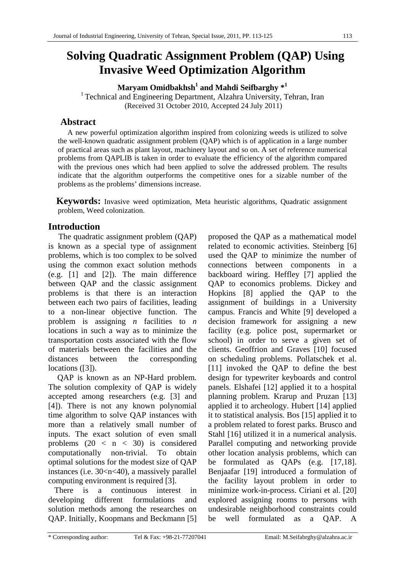# **Solving Quadratic Assignment Problem (QAP) Using Invasive Weed Optimization Algorithm**

**Maryam Omidbakhsh<sup>1</sup> and Mahdi Seifbarghy \*<sup>1</sup>**

<sup>1</sup> Technical and Engineering Department, Alzahra University, Tehran, Iran (Received 31 October 2010, Accepted 24 July 2011)

# **Abstract**

A new powerful optimization algorithm inspired from colonizing weeds is utilized to solve the well-known quadratic assignment problem (QAP) which is of application in a large number of practical areas such as plant layout, machinery layout and so on. A set of reference numerical problems from QAPLIB is taken in order to evaluate the efficiency of the algorithm compared with the previous ones which had been applied to solve the addressed problem. The results indicate that the algorithm outperforms the competitive ones for a sizable number of the problems as the problems' dimensions increase.

**Keywords:** Invasive weed optimization, Meta heuristic algorithms, Quadratic assignment problem, Weed colonization.

# **Introduction**

 The quadratic assignment problem (QAP) is known as a special type of assignment problems, which is too complex to be solved using the common exact solution methods (e.g. [1] and [2]). The main difference between QAP and the classic assignment problems is that there is an interaction between each two pairs of facilities, leading to a non-linear objective function. The problem is assigning *n* facilities to *n* locations in such a way as to minimize the transportation costs associated with the flow of materials between the facilities and the distances between the corresponding locations ([3]).

QAP is known as an NP-Hard problem. The solution complexity of QAP is widely accepted among researchers (e.g. [3] and [4]). There is not any known polynomial time algorithm to solve QAP instances with more than a relatively small number of inputs. The exact solution of even small problems  $(20 < n < 30)$  is considered computationally non-trivial. To obtain optimal solutions for the modest size of QAP instances (i.e. 30<n<40), a massively parallel computing environment is required [3].

 There is a continuous interest in developing different formulations and solution methods among the researches on QAP. Initially, Koopmans and Beckmann [5] proposed the QAP as a mathematical model related to economic activities. Steinberg [6] used the QAP to minimize the number of connections between components in a backboard wiring. Heffley [7] applied the QAP to economics problems. Dickey and Hopkins [8] applied the QAP to the assignment of buildings in a University campus. Francis and White [9] developed a decision framework for assigning a new facility (e.g. police post, supermarket or school) in order to serve a given set of clients. Geoffrion and Graves [10] focused on scheduling problems. Pollatschek et al. [11] invoked the QAP to define the best design for typewriter keyboards and control panels. Elshafei [12] applied it to a hospital planning problem. Krarup and Pruzan [13] applied it to archeology. Hubert [14] applied it to statistical analysis. Bos [15] applied it to a problem related to forest parks. Brusco and Stahl [16] utilized it in a numerical analysis. Parallel computing and networking provide other location analysis problems, which can be formulated as QAPs (e.g. [17,18]. Benjaafar [19] introduced a formulation of the facility layout problem in order to minimize work-in-process. Ciriani et al. [20] explored assigning rooms to persons with undesirable neighborhood constraints could be well formulated as a QAP. A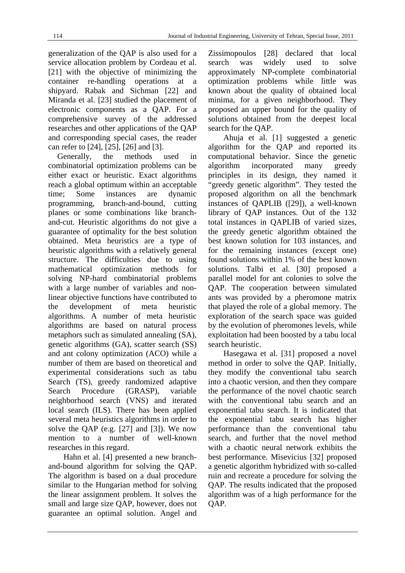generalization of the QAP is also used for a service allocation problem by Cordeau et al. [21] with the objective of minimizing the container re-handling operations at a shipyard. Rabak and Sichman [22] and Miranda et al. [23] studied the placement of electronic components as a QAP. For a comprehensive survey of the addressed researches and other applications of the QAP and corresponding special cases, the reader can refer to [24], [25], [26] and [3].

Generally, the methods used in combinatorial optimization problems can be either exact or heuristic. Exact algorithms reach a global optimum within an acceptable time; Some instances are dynamic programming, branch-and-bound, cutting planes or some combinations like branchand-cut. Heuristic algorithms do not give a guarantee of optimality for the best solution obtained. Meta heuristics are a type of heuristic algorithms with a relatively general structure. The difficulties due to using mathematical optimization methods for solving NP-hard combinatorial problems with a large number of variables and nonlinear objective functions have contributed to the development of meta heuristic algorithms. A number of meta heuristic algorithms are based on natural process metaphors such as simulated annealing (SA), genetic algorithms (GA), scatter search (SS) and ant colony optimization (ACO) while a number of them are based on theoretical and experimental considerations such as tabu Search (TS), greedy randomized adaptive Search Procedure (GRASP), variable neighborhood search (VNS) and iterated local search (ILS). There has been applied several meta heuristics algorithms in order to solve the QAP (e.g. [27] and [3]). We now mention to a number of well-known researches in this regard.

 Hahn et al. [4] presented a new branchand-bound algorithm for solving the QAP. The algorithm is based on a dual procedure similar to the Hungarian method for solving the linear assignment problem. It solves the small and large size QAP, however, does not guarantee an optimal solution. Angel and Zissimopoulos [28] declared that local search was widely used to solve approximately NP-complete combinatorial optimization problems while little was known about the quality of obtained local minima, for a given neighborhood. They proposed an upper bound for the quality of solutions obtained from the deepest local search for the QAP.

 Ahuja et al. [1] suggested a genetic algorithm for the QAP and reported its computational behavior. Since the genetic algorithm incorporated many greedy principles in its design, they named it "greedy genetic algorithm". They tested the proposed algorithm on all the benchmark instances of QAPLIB ([29]), a well-known library of QAP instances. Out of the 132 total instances in QAPLIB of varied sizes, the greedy genetic algorithm obtained the best known solution for 103 instances, and for the remaining instances (except one) found solutions within 1% of the best known solutions. Talbi et al. [30] proposed a parallel model for ant colonies to solve the QAP. The cooperation between simulated ants was provided by a pheromone matrix that played the role of a global memory. The exploration of the search space was guided by the evolution of pheromones levels, while exploitation had been boosted by a tabu local search heuristic.

 Hasegawa et al. [31] proposed a novel method in order to solve the QAP. Initially, they modify the conventional tabu search into a chaotic version, and then they compare the performance of the novel chaotic search with the conventional tabu search and an exponential tabu search. It is indicated that the exponential tabu search has higher performance than the conventional tabu search, and further that the novel method with a chaotic neural network exhibits the best performance. Misevicius [32] proposed a genetic algorithm hybridized with so-called ruin and recreate a procedure for solving the QAP. The results indicated that the proposed algorithm was of a high performance for the QAP.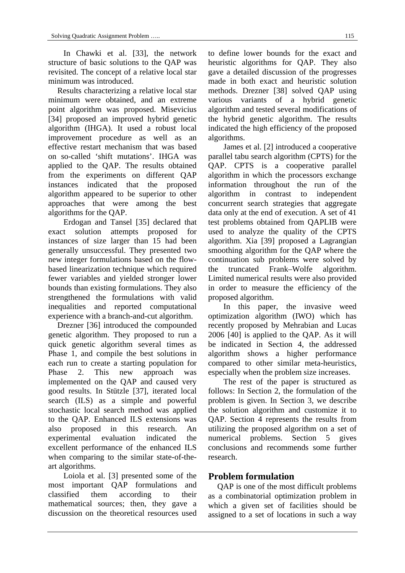In Chawki et al. [33], the network structure of basic solutions to the QAP was revisited. The concept of a relative local star minimum was introduced.

Results characterizing a relative local star minimum were obtained, and an extreme point algorithm was proposed. Misevicius [34] proposed an improved hybrid genetic algorithm (IHGA). It used a robust local improvement procedure as well as an effective restart mechanism that was based on so-called 'shift mutations'. IHGA was applied to the QAP. The results obtained from the experiments on different QAP instances indicated that the proposed algorithm appeared to be superior to other approaches that were among the best algorithms for the QAP.

 Erdogan and Tansel [35] declared that exact solution attempts proposed for instances of size larger than 15 had been generally unsuccessful. They presented two new integer formulations based on the flowbased linearization technique which required fewer variables and yielded stronger lower bounds than existing formulations. They also strengthened the formulations with valid inequalities and reported computational experience with a branch-and-cut algorithm.

Drezner [36] introduced the compounded genetic algorithm. They proposed to run a quick genetic algorithm several times as Phase 1, and compile the best solutions in each run to create a starting population for Phase 2. This new approach was implemented on the QAP and caused very good results. In Stützle [37], iterated local search (ILS) as a simple and powerful stochastic local search method was applied to the QAP. Enhanced ILS extensions was also proposed in this research. An experimental evaluation indicated the excellent performance of the enhanced ILS when comparing to the similar state-of-theart algorithms.

 Loiola et al. [3] presented some of the most important QAP formulations and classified them according to their mathematical sources; then, they gave a discussion on the theoretical resources used

to define lower bounds for the exact and heuristic algorithms for QAP. They also gave a detailed discussion of the progresses made in both exact and heuristic solution methods. Drezner [38] solved QAP using various variants of a hybrid genetic algorithm and tested several modifications of the hybrid genetic algorithm. The results indicated the high efficiency of the proposed algorithms.

 James et al. [2] introduced a cooperative parallel tabu search algorithm (CPTS) for the QAP. CPTS is a cooperative parallel algorithm in which the processors exchange information throughout the run of the algorithm in contrast to independent concurrent search strategies that aggregate data only at the end of execution. A set of 41 test problems obtained from QAPLIB were used to analyze the quality of the CPTS algorithm. Xia [39] proposed a Lagrangian smoothing algorithm for the QAP where the continuation sub problems were solved by the truncated Frank–Wolfe algorithm. Limited numerical results were also provided in order to measure the efficiency of the proposed algorithm.

 In this paper, the invasive weed optimization algorithm (IWO) which has recently proposed by Mehrabian and Lucas 2006 [40] is applied to the QAP. As it will be indicated in Section 4, the addressed algorithm shows a higher performance compared to other similar meta-heuristics, especially when the problem size increases.

 The rest of the paper is structured as follows: In Section 2, the formulation of the problem is given. In Section 3, we describe the solution algorithm and customize it to QAP. Section 4 represents the results from utilizing the proposed algorithm on a set of numerical problems. Section 5 gives conclusions and recommends some further research.

# **Problem formulation**

QAP is one of the most difficult problems as a combinatorial optimization problem in which a given set of facilities should be assigned to a set of locations in such a way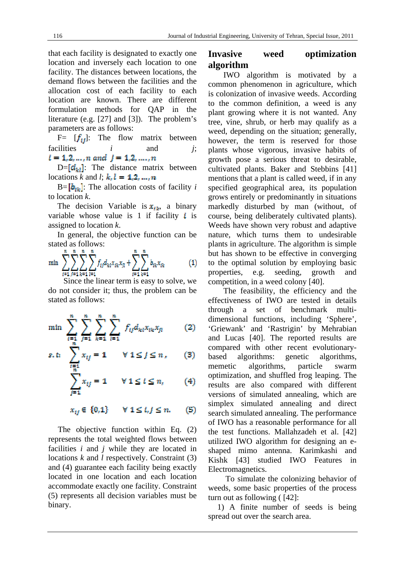that each facility is designated to exactly one location and inversely each location to one facility. The distances between locations, the demand flows between the facilities and the allocation cost of each facility to each location are known. There are different formulation methods for QAP in the literature (e.g. [27] and [3]). The problem's parameters are as follows:

F=  $[f_{ij}]$ : The flow matrix between facilities *i* and *j*;  $t = 1, 2, ..., n$  and  $j = 1, 2, ..., n$ 

 $D = [d_{k}]$ : The distance matrix between locations *k* and *l*;  $k<sub>i</sub> l = 1, 2, ..., n$ 

 $B = [b_{ik}]$ : The allocation costs of facility *i* to location *k*.

The decision Variable is  $x_{ik}$ , a binary variable whose value is 1 if facility  $\boldsymbol{i}$  is assigned to location *k*.

In general, the objective function can be stated as follows:

$$
\min \sum_{i=1}^{n} \sum_{j=1}^{n} \sum_{k=1}^{n} \sum_{l=1}^{n} f_{ij} d_{ki} x_{ik} x_{jl} + \sum_{i=1}^{n} \sum_{k=1}^{n} b_{ik} x_{ik} \tag{1}
$$

 Since the linear term is easy to solve, we do not consider it; thus, the problem can be stated as follows:

$$
\min \sum_{i=1}^{n} \sum_{j=1}^{n} \sum_{k=1}^{n} \sum_{i=1}^{n} f_{ij} d_{ki} x_{ik} x_{jl} \qquad (2)
$$

$$
\sum_{\substack{i=1\\n\\n\end{math}}
$$

$$
\sum_{j=1} x_{ij} = 1 \qquad \forall \ 1 \leq t \leq n, \tag{4}
$$

 $x_{ij} \in \{0,1\}$  $\forall 1 \leq t, j \leq n.$ (5)

The objective function within Eq. (2) represents the total weighted flows between facilities *i* and *j* while they are located in locations *k* and *l* respectively. Constraint (3) and (4) guarantee each facility being exactly located in one location and each location accommodate exactly one facility. Constraint (5) represents all decision variables must be binary.

## **Invasive weed optimization algorithm**

 IWO algorithm is motivated by a common phenomenon in agriculture, which is colonization of invasive weeds. According to the common definition, a weed is any plant growing where it is not wanted. Any tree, vine, shrub, or herb may qualify as a weed, depending on the situation; generally, however, the term is reserved for those plants whose vigorous, invasive habits of growth pose a serious threat to desirable, cultivated plants. Baker and Stebbins [41] mentions that a plant is called weed, if in any specified geographical area, its population grows entirely or predominantly in situations markedly disturbed by man (without, of course, being deliberately cultivated plants). Weeds have shown very robust and adaptive nature, which turns them to undesirable plants in agriculture. The algorithm is simple but has shown to be effective in converging to the optimal solution by employing basic properties, e.g. seeding, growth and competition, in a weed colony [40].

 The feasibility, the efficiency and the effectiveness of IWO are tested in details through a set of benchmark multidimensional functions, including 'Sphere', 'Griewank' and 'Rastrigin' by Mehrabian and Lucas [40]. The reported results are compared with other recent evolutionarybased algorithms: genetic algorithms, memetic algorithms, particle swarm optimization, and shuffled frog leaping. The results are also compared with different versions of simulated annealing, which are simplex simulated annealing and direct search simulated annealing. The performance of IWO has a reasonable performance for all the test functions. Mallahzadeh et al. [42] utilized IWO algorithm for designing an eshaped mimo antenna. Karimkashi and Kishk [43] studied IWO Features in Electromagnetics.

 To simulate the colonizing behavior of weeds, some basic properties of the process turn out as following ( [42]:

1) A finite number of seeds is being spread out over the search area.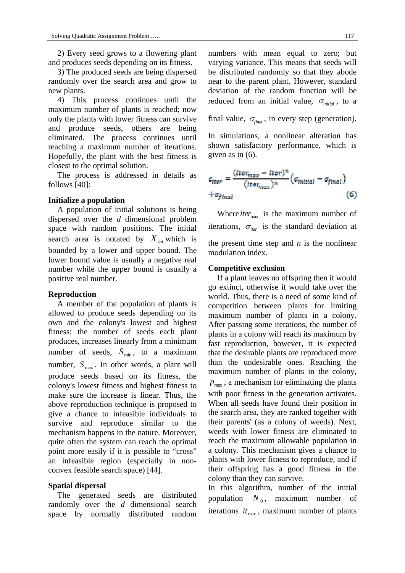2) Every seed grows to a flowering plant and produces seeds depending on its fitness.

3) The produced seeds are being dispersed randomly over the search area and grow to new plants.

4) This process continues until the maximum number of plants is reached; now only the plants with lower fitness can survive and produce seeds, others are being eliminated. The process continues until reaching a maximum number of iterations. Hopefully, the plant with the best fitness is closest to the optimal solution.

The process is addressed in details as follows [40]:

#### **Initialize a population**

A population of initial solutions is being dispersed over the *d* dimensional problem space with random positions. The initial search area is notated by  $X_{ini}$  which is bounded by a lower and upper bound. The lower bound value is usually a negative real number while the upper bound is usually a positive real number.

#### **Reproduction**

A member of the population of plants is allowed to produce seeds depending on its own and the colony's lowest and highest fitness: the number of seeds each plant produces, increases linearly from a minimum number of seeds,  $S_{\text{min}}$ , to a maximum number,  $S_{\text{max}}$ . In other words, a plant will produce seeds based on its fitness, the colony's lowest fitness and highest fitness to make sure the increase is linear. Thus, the above reproduction technique is proposed to give a chance to infeasible individuals to survive and reproduce similar to the mechanism happens in the nature. Moreover, quite often the system can reach the optimal point more easily if it is possible to "cross" an infeasible region (especially in nonconvex feasible search space) [44].

#### **Spatial dispersal**

The generated seeds are distributed randomly over the *d* dimensional search space by normally distributed random

numbers with mean equal to zero; but varying variance. This means that seeds will be distributed randomly so that they abode near to the parent plant. However, standard deviation of the random function will be reduced from an initial value,  $\sigma_{initial}$ , to a

final value,  $\sigma_{\text{final}}$ , in every step (generation).

In simulations, a nonlinear alteration has shown satisfactory performance, which is given as in (6).

$$
G_{\text{iter}} = \frac{(t \tan_{\text{max}} - t \tan)^n}{(t \tan_{\text{max}})^n} \left( \sigma_{\text{initial}} - \sigma_{\text{final}} \right)
$$
  
+  $\sigma_{\text{final}}$  (6)

Where *iter*<sub>max</sub> is the maximum number of iterations,  $\sigma_{\text{iter}}$  is the standard deviation at the present time step and  $n$  is the nonlinear modulation index.

#### **Competitive exclusion**

If a plant leaves no offspring then it would go extinct, otherwise it would take over the world. Thus, there is a need of some kind of competition between plants for limiting maximum number of plants in a colony. After passing some iterations, the number of plants in a colony will reach its maximum by fast reproduction, however, it is expected that the desirable plants are reproduced more than the undesirable ones. Reaching the maximum number of plants in the colony,  $p_{\text{max}}$ , a mechanism for eliminating the plants with poor fitness in the generation activates. When all seeds have found their position in the search area, they are ranked together with their parents' (as a colony of weeds). Next, weeds with lower fitness are eliminated to reach the maximum allowable population in a colony. This mechanism gives a chance to plants with lower fitness to reproduce, and if their offspring has a good fitness in the colony than they can survive.

In this algorithm, number of the initial population  $N_0$ , maximum number of iterations  $it_{\text{max}}$ , maximum number of plants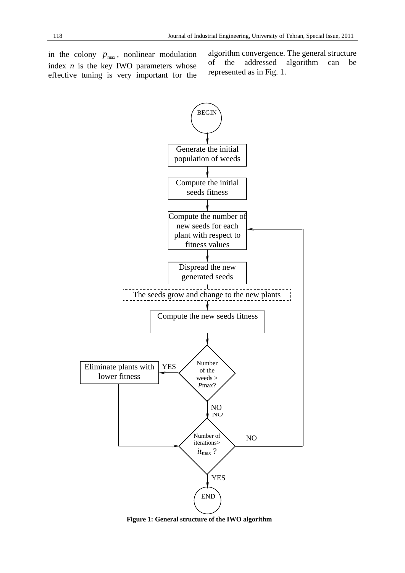in the colony  $p_{\text{max}}$ , nonlinear modulation index  $n$  is the key IWO parameters whose effective tuning is very important for the

algorithm convergence. The general structure of the addressed algorithm can be represented as in Fig. 1.



**Figure 1: General structure of the IWO algorithm**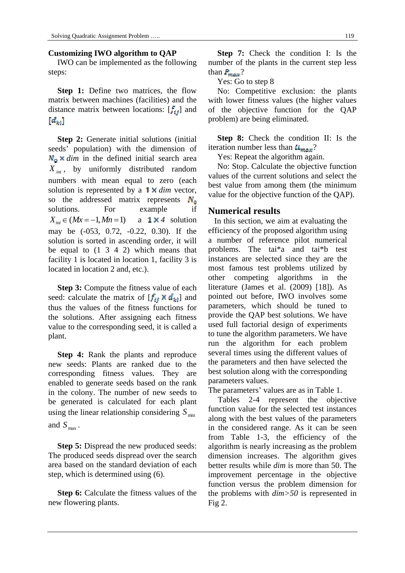### **Customizing IWO algorithm to QAP**

IWO can be implemented as the following steps:

**Step 1:** Define two matrices, the flow matrix between machines (facilities) and the distance matrix between locations:  $[f_{ij}]$  and  $[d_{kt}]$ 

**Step 2:** Generate initial solutions (initial seeds' population) with the dimension of  $N_{\rm o} \times$  *dim* in the defined initial search area *X ini* , by uniformly distributed random numbers with mean equal to zero (each solution is represented by a **1 x** dim vector, so the addressed matrix represents  $N_a$ solutions. For example if  $X_{ini} \in (Mx = -1, Mn = 1)$  a **1×**4 solution may be (-053, 0.72, -0.22, 0.30). If the solution is sorted in ascending order, it will be equal to (1 3 4 2) which means that facility 1 is located in location 1, facility 3 is located in location 2 and, etc.).

**Step 3:** Compute the fitness value of each seed: calculate the matrix of  $[f_{ij} \times d_{ki}]$  and thus the values of the fitness functions for the solutions. After assigning each fitness value to the corresponding seed, it is called a plant.

**Step 4:** Rank the plants and reproduce new seeds: Plants are ranked due to the corresponding fitness values. They are enabled to generate seeds based on the rank in the colony. The number of new seeds to be generated is calculated for each plant using the linear relationship considering  $S_{\text{min}}$ and  $S_{\text{max}}$ .

**Step 5:** Dispread the new produced seeds: The produced seeds dispread over the search area based on the standard deviation of each step, which is determined using (6).

**Step 6:** Calculate the fitness values of the new flowering plants.

**Step 7:** Check the condition I: Is the number of the plants in the current step less than  $P_{max}$ ?

Yes: Go to step 8

No: Competitive exclusion: the plants with lower fitness values (the higher values of the objective function for the QAP problem) are being eliminated.

**Step 8:** Check the condition II: Is the iteration number less than  $U_{max}$ ?

Yes: Repeat the algorithm again.

No: Stop. Calculate the objective function values of the current solutions and select the best value from among them (the minimum value for the objective function of the QAP).

### **Numerical results**

 In this section, we aim at evaluating the efficiency of the proposed algorithm using a number of reference pilot numerical problems. The tai\*a and tai\*b test instances are selected since they are the most famous test problems utilized by other competing algorithms in the literature (James et al. (2009) [18]). As pointed out before, IWO involves some parameters, which should be tuned to provide the QAP best solutions. We have used full factorial design of experiments to tune the algorithm parameters. We have run the algorithm for each problem several times using the different values of the parameters and then have selected the best solution along with the corresponding parameters values.

The parameters' values are as in Table 1.

Tables 2-4 represent the objective function value for the selected test instances along with the best values of the parameters in the considered range. As it can be seen from Table 1-3, the efficiency of the algorithm is nearly increasing as the problem dimension increases. The algorithm gives better results while *dim* is more than 50. The improvement percentage in the objective function versus the problem dimension for the problems with *dim>50* is represented in Fig 2.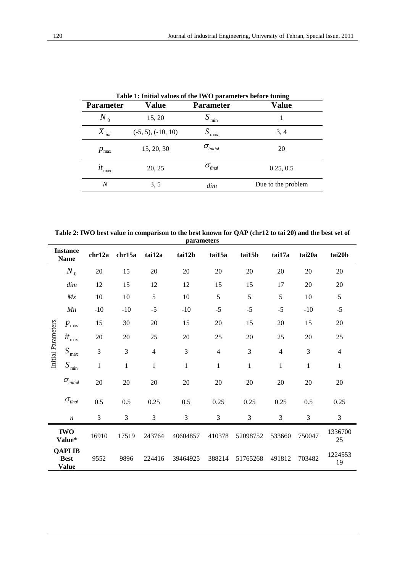| Table 1: Initial values of the IWO parameters before tuning |                         |                             |                    |  |  |  |  |  |
|-------------------------------------------------------------|-------------------------|-----------------------------|--------------------|--|--|--|--|--|
| <b>Parameter</b>                                            | Value                   | <b>Parameter</b>            | <b>Value</b>       |  |  |  |  |  |
| $N_{\alpha}$                                                | 15, 20                  | $S_{\min}$                  |                    |  |  |  |  |  |
| $X_{\text{ini}}$                                            | $(-5, 5)$ , $(-10, 10)$ | max                         | 3, 4               |  |  |  |  |  |
| $p_{\rm max}$                                               | 15, 20, 30              | $\sigma$ <sub>initial</sub> | 20                 |  |  |  |  |  |
| $it_{\rm max}$                                              | 20, 25                  | $\sigma_{\rm final}$        | 0.25, 0.5          |  |  |  |  |  |
| N                                                           | 3, 5                    | dim                         | Due to the problem |  |  |  |  |  |

**Table 2: IWO best value in comparison to the best known for QAP (chr12 to tai 20) and the best set of parameters** 

| <b>Instance</b><br><b>Name</b> |                                              | chr12a      | chr15a       | tai12a         | tai12b       | tai15a         | tai15b       | tai17a         | tai20a       | tai20b         |
|--------------------------------|----------------------------------------------|-------------|--------------|----------------|--------------|----------------|--------------|----------------|--------------|----------------|
|                                | $N_{0}$                                      | 20          | 15           | 20             | 20           | 20             | 20           | 20             | 20           | 20             |
|                                | dim                                          | 12          | 15           | 12             | 12           | 15             | 15           | 17             | 20           | 20             |
|                                | Mx                                           | 10          | 10           | 5              | 10           | 5              | 5            | 5              | 10           | 5              |
|                                | Mn                                           | $-10$       | $-10$        | $-5$           | $-10$        | $-5$           | $-5$         | $-5$           | $-10$        | $-5$           |
| Initial Parameters             | $p_{\text{max}}$                             | 15          | 30           | 20             | 15           | 20             | 15           | 20             | 15           | 20             |
|                                | $it_{\rm max}$                               | 20          | 20           | 25             | 20           | 25             | 20           | 25             | 20           | 25             |
|                                | $S_{\,\mathrm{max}}$                         | 3           | 3            | $\overline{4}$ | 3            | $\overline{4}$ | 3            | $\overline{4}$ | 3            | $\overline{4}$ |
|                                | $S_{\min}$                                   | $\mathbf 1$ | $\mathbf{1}$ | $\mathbf{1}$   | $\mathbf{1}$ | $\mathbf{1}$   | $\mathbf{1}$ | $\,1$          | $\mathbf{1}$ | $\,1$          |
|                                | $\sigma_{\rm initial}$                       | 20          | 20           | $20\,$         | 20           | $20\,$         | 20           | $20\,$         | 20           | 20             |
|                                | $\sigma_{\text{final}}$                      | 0.5         | 0.5          | 0.25           | 0.5          | 0.25           | 0.25         | 0.25           | 0.5          | 0.25           |
|                                | $\boldsymbol{n}$                             | 3           | 3            | 3              | 3            | 3              | 3            | 3              | 3            | 3              |
| <b>IWO</b><br>Value*           |                                              | 16910       | 17519        | 243764         | 40604857     | 410378         | 52098752     | 533660         | 750047       | 1336700<br>25  |
|                                | <b>QAPLIB</b><br><b>Best</b><br><b>Value</b> | 9552        | 9896         | 224416         | 39464925     | 388214         | 51765268     | 491812         | 703482       | 1224553<br>19  |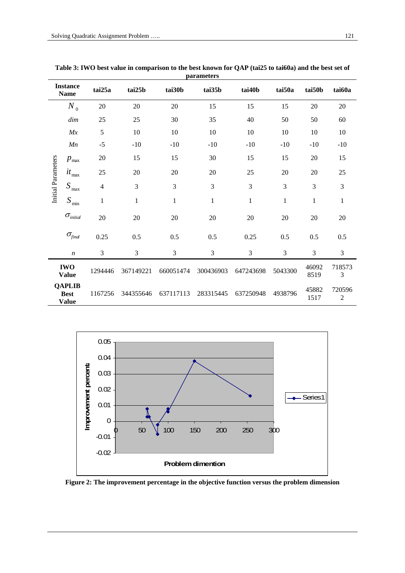|                           | <b>Instance</b><br><b>Name</b>               | tai25a         | tai25b       | tai30b       | tai35b         | tai40b    | tai50a       | tai50b        | tai60a                   |
|---------------------------|----------------------------------------------|----------------|--------------|--------------|----------------|-----------|--------------|---------------|--------------------------|
|                           | $N_{0}$                                      | $20\,$         | 20           | 20           | 15             | 15        | 15           | 20            | 20                       |
|                           | dim                                          | 25             | 25           | 30           | 35             | 40        | 50           | 50            | 60                       |
|                           | Mx                                           | 5              | 10           | 10           | 10             | 10        | 10           | 10            | 10                       |
|                           | Mn                                           | $-5$           | $-10$        | $-10$        | $-10$          | $-10$     | $-10$        | $-10$         | $-10$                    |
|                           | $p_{\text{max}}$                             | 20             | 15           | 15           | 30             | 15        | 15           | 20            | 15                       |
|                           | $it_{\rm max}$                               | 25             | 20           | 20           | 20             | 25        | 20           | 20            | 25                       |
| <b>Initial Parameters</b> | $S_{\,\mathrm{max}}$                         | $\overline{4}$ | 3            | 3            | 3              | 3         | 3            | 3             | 3                        |
|                           | $S_{\min}$                                   | $\mathbf{1}$   | $\mathbf{1}$ | $\mathbf{1}$ | $\mathbf{1}$   | 1         | $\mathbf{1}$ | $\mathbf{1}$  | $\mathbf{1}$             |
|                           | $\sigma_{\rm initial}$                       | 20             | 20           | $20\,$       | 20             | 20        | $20\,$       | 20            | 20                       |
|                           | $\sigma_{\text{final}}$                      | 0.25           | 0.5          | 0.5          | 0.5            | 0.25      | 0.5          | 0.5           | 0.5                      |
|                           | $\boldsymbol{n}$                             | 3              | 3            | 3            | $\mathfrak{Z}$ | 3         | 3            | 3             | 3                        |
|                           | <b>IWO</b><br><b>Value</b>                   | 1294446        | 367149221    | 660051474    | 300436903      | 647243698 | 5043300      | 46092<br>8519 | 718573<br>3              |
|                           | <b>QAPLIB</b><br><b>Best</b><br><b>Value</b> | 1167256        | 344355646    | 637117113    | 283315445      | 637250948 | 4938796      | 45882<br>1517 | 720596<br>$\overline{2}$ |

**Table 3: IWO best value in comparison to the best known for QAP (tai25 to tai60a) and the best set of parameters** 



**Figure 2: The improvement percentage in the objective function versus the problem dimension**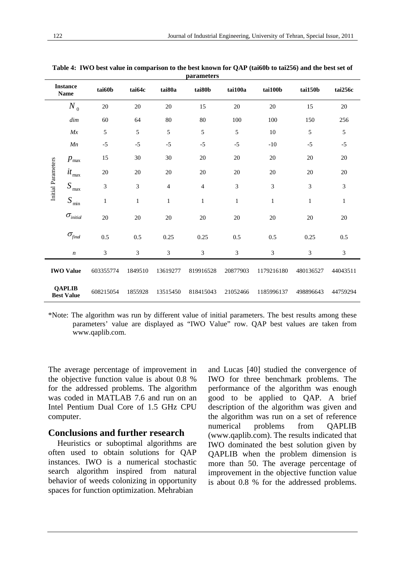| <b>Instance</b><br><b>Name</b>     |                                  | tai60b    | tai64c       | tai80a                   | tai80b         | tai100a      | tai100b      | tai150b      | tai256c      |
|------------------------------------|----------------------------------|-----------|--------------|--------------------------|----------------|--------------|--------------|--------------|--------------|
|                                    | $N_0$                            | 20        | 20           | 20                       | 15             | 20           | 20           | 15           | 20           |
|                                    | dim                              | 60        | 64           | 80                       | 80             | 100          | 100          | 150          | 256          |
|                                    | Mx                               | 5         | 5            | 5                        | 5              | 5            | 10           | 5            | 5            |
|                                    | Mn                               | $-5$      | $-5$         | $-5$                     | $-5$           | $-5$         | $-10$        | $-5$         | $-5$         |
|                                    | $p_{\text{max}}$                 | 15        | 30           | 30                       | 20             | 20           | 20           | 20           | 20           |
|                                    | $it_{\scriptscriptstyle\rm max}$ | $20\,$    | 20           | 20                       | $20\,$         | 20           | 20           | 20           | 20           |
| Initial Parameters                 | $S_{\,\mathrm{max}}$             | 3         | 3            | $\overline{\mathcal{L}}$ | $\overline{4}$ | 3            | 3            | 3            | 3            |
|                                    | $S_{\rm min}$                    | $\,1$     | $\mathbf{1}$ | $\mathbf{1}$             | $\mathbf{1}$   | $\mathbf{1}$ | $\mathbf{1}$ | $\mathbf{1}$ | $\mathbf{1}$ |
|                                    | $\sigma_{\rm initial}$           | 20        | 20           | 20                       | $20\,$         | 20           | 20           | 20           | 20           |
|                                    | $\sigma_{\text{final}}$          | 0.5       | 0.5          | 0.25                     | 0.25           | 0.5          | 0.5          | 0.25         | 0.5          |
|                                    | $\boldsymbol{n}$                 | 3         | 3            | 3                        | 3              | 3            | 3            | 3            | 3            |
| <b>IWO Value</b>                   |                                  | 603355774 | 1849510      | 13619277                 | 819916528      | 20877903     | 1179216180   | 480136527    | 44043511     |
| <b>OAPLIB</b><br><b>Best Value</b> |                                  | 608215054 | 1855928      | 13515450                 | 818415043      | 21052466     | 1185996137   | 498896643    | 44759294     |

**Table 4: IWO best value in comparison to the best known for QAP (tai60b to tai256) and the best set of parameters** 

\*Note: The algorithm was run by different value of initial parameters. The best results among these parameters' value are displayed as "IWO Value" row. QAP best values are taken from www.qaplib.com.

The average percentage of improvement in the objective function value is about 0.8 % for the addressed problems. The algorithm was coded in MATLAB 7.6 and run on an Intel Pentium Dual Core of 1.5 GHz CPU computer.

### **Conclusions and further research**

Heuristics or suboptimal algorithms are often used to obtain solutions for QAP instances. IWO is a numerical stochastic search algorithm inspired from natural behavior of weeds colonizing in opportunity spaces for function optimization. Mehrabian

and Lucas [40] studied the convergence of IWO for three benchmark problems. The performance of the algorithm was enough good to be applied to QAP. A brief description of the algorithm was given and the algorithm was run on a set of reference numerical problems from QAPLIB (www.qaplib.com). The results indicated that IWO dominated the best solution given by QAPLIB when the problem dimension is more than 50. The average percentage of improvement in the objective function value is about 0.8 % for the addressed problems.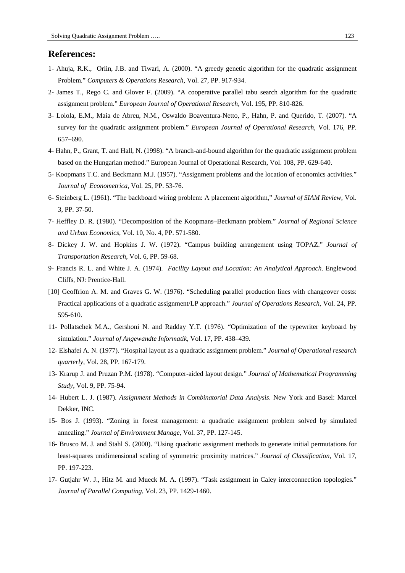### **References:**

- 1- Ahuja, R.K., Orlin, J.B. and Tiwari, A. (2000). "A greedy genetic algorithm for the quadratic assignment Problem." *Computers & Operations Research*, Vol. 27, PP. 917-934.
- 2- James T., Rego C. and Glover F. (2009). "A cooperative parallel tabu search algorithm for the quadratic assignment problem." *European Journal of Operational Research*, Vol. 195, PP. 810-826.
- 3- Loiola, E.M., Maia de Abreu, N.M., Oswaldo Boaventura-Netto, P., Hahn, P. and Querido, T. (2007). "A survey for the quadratic assignment problem." *European Journal of Operational Research*, Vol. 176, PP. 657–690.
- 4- Hahn, P., Grant, T. and Hall, N. (1998). "A branch-and-bound algorithm for the quadratic assignment problem based on the Hungarian method." European Journal of Operational Research, Vol. 108, PP. 629-640.
- 5- Koopmans T.C. and Beckmann M.J. (1957). "Assignment problems and the location of economics activities." *Journal of Econometrica*, Vol. 25, PP. 53-76.
- 6- Steinberg L. (1961). "The backboard wiring problem: A placement algorithm," *Journal of SIAM Review*, Vol. 3, PP. 37-50.
- 7- Heffley D. R. (1980). "Decomposition of the Koopmans–Beckmann problem." *Journal of Regional Science and Urban Economics*, Vol. 10, No. 4, PP. 571-580.
- 8- Dickey J. W. and Hopkins J. W. (1972). "Campus building arrangement using TOPAZ." *Journal of Transportation Research*, Vol. 6, PP. 59-68.
- 9- Francis R. L. and White J. A. (1974). *Facility Layout and Location: An Analytical Approach*. Englewood Cliffs, NJ: Prentice-Hall.
- [10] Geoffrion A. M. and Graves G. W. (1976). "Scheduling parallel production lines with changeover costs: Practical applications of a quadratic assignment/LP approach." *Journal of Operations Research*, Vol. 24, PP. 595-610.
- 11- Pollatschek M.A., Gershoni N. and Radday Y.T. (1976). "Optimization of the typewriter keyboard by simulation." *Journal of Angewandte Informatik*, Vol. 17, PP. 438–439.
- 12- Elshafei A. N. (1977). "Hospital layout as a quadratic assignment problem." *Journal of Operational research quarterly*, Vol. 28, PP. 167-179.
- 13- Krarup J. and Pruzan P.M. (1978). "Computer-aided layout design." *Journal of Mathematical Programming Study*, Vol. 9, PP. 75-94.
- 14- Hubert L. J. (1987). *Assignment Methods in Combinatorial Data Analysis*. New York and Basel: Marcel Dekker, INC.
- 15- Bos J. (1993). "Zoning in forest management: a quadratic assignment problem solved by simulated annealing." *Journal of Environment Manage*, Vol. 37, PP. 127-145.
- 16- Brusco M. J. and Stahl S. (2000). "Using quadratic assignment methods to generate initial permutations for least-squares unidimensional scaling of symmetric proximity matrices." *Journal of Classification*, Vol. 17, PP. 197-223.
- 17- Gutjahr W. J., Hitz M. and Mueck M. A. (1997). "Task assignment in Caley interconnection topologies." *Journal of Parallel Computing*, Vol. 23, PP. 1429-1460.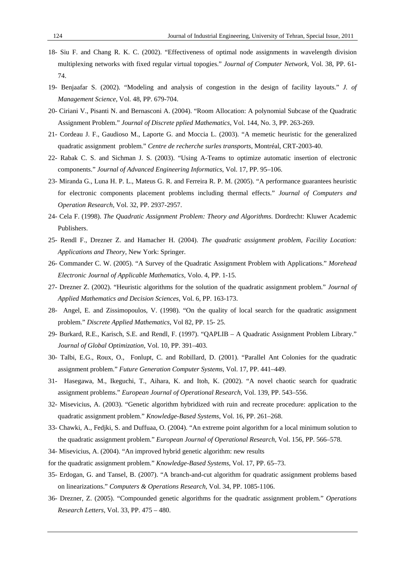- 18- Siu F. and Chang R. K. C. (2002). "Effectiveness of optimal node assignments in wavelength division multiplexing networks with fixed regular virtual topogies." *Journal of Computer Network*, Vol. 38, PP. 61- 74.
- 19- Benjaafar S. (2002). "Modeling and analysis of congestion in the design of facility layouts." *J. of Management Science*, Vol. 48, PP. 679-704.
- 20- Ciriani V., Pisanti N. and Bernasconi A. (2004). "Room Allocation: A polynomial Subcase of the Quadratic Assignment Problem." *Journal of Discrete pplied Mathematics*, Vol. 144, No. 3, PP. 263-269.
- 21- Cordeau J. F., Gaudioso M., Laporte G. and Moccia L. (2003). "A memetic heuristic for the generalized quadratic assignment problem." *Centre de recherche surles transports*, Montréal, CRT-2003-40.
- 22- Rabak C. S. and Sichman J. S. (2003). "Using A-Teams to optimize automatic insertion of electronic components." *Journal of Advanced Engineering Informatics*, Vol. 17, PP. 95–106.
- 23- Miranda G., Luna H. P. L., Mateus G. R. and Ferreira R. P. M. (2005). "A performance guarantees heuristic for electronic components placement problems including thermal effects." *Journal of Computers and Operation Research*, Vol. 32, PP. 2937-2957.
- 24- Cela F. (1998). *The Quadratic Assignment Problem: Theory and Algorithms*. Dordrecht: Kluwer Academic Publishers.
- 25- Rendl F., Drezner Z. and Hamacher H. (2004). *The quadratic assignment problem, Facility Location: Applications and Theory*, New York: Springer.
- 26- Commander C. W. (2005). "A Survey of the Quadratic Assignment Problem with Applications." *Morehead Electronic Journal of Applicable Mathematics*, Volo. 4, PP. 1-15.
- 27- Drezner Z. (2002). "Heuristic algorithms for the solution of the quadratic assignment problem." *Journal of Applied Mathematics and Decision Sciences*, Vol. 6, PP. 163-173.
- 28- Angel, E. and Zissimopoulos, V. (1998). "On the quality of local search for the quadratic assignment problem." *Discrete Applied Mathematics*, Vol 82, PP. 15- 25.
- 29- Burkard, R.E., Karisch, S.E. and Rendl, F. (1997). "QAPLIB A Quadratic Assignment Problem Library." *Journal of Global Optimization*, Vol. 10, PP. 391–403.
- 30- Talbi, E.G., Roux, O., Fonlupt, C. and Robillard, D. (2001). "Parallel Ant Colonies for the quadratic assignment problem." *Future Generation Computer Systems*, Vol. 17, PP. 441–449.
- 31- Hasegawa, M., Ikeguchi, T., Aihara, K. and Itoh, K. (2002). "A novel chaotic search for quadratic assignment problems." *European Journal of Operational Research*, Vol. 139, PP. 543–556.
- 32- Misevicius, A. (2003). "Genetic algorithm hybridized with ruin and recreate procedure: application to the quadratic assignment problem." *Knowledge-Based Systems*, Vol. 16, PP. 261–268.
- 33- Chawki, A., Fedjki, S. and Duffuaa, O. (2004). "An extreme point algorithm for a local minimum solution to the quadratic assignment problem." *European Journal of Operational Research*, Vol. 156, PP. 566–578.
- 34- Misevicius, A. (2004). "An improved hybrid genetic algorithm: new results
- for the quadratic assignment problem." *Knowledge-Based Systems*, Vol. 17, PP. 65–73.
- 35- Erdogan, G. and Tansel, B. (2007). "A branch-and-cut algorithm for quadratic assignment problems based on linearizations." *Computers & Operations Research*, Vol. 34, PP. 1085-1106.
- 36- Drezner, Z. (2005). "Compounded genetic algorithms for the quadratic assignment problem." *Operations Research Letters*, Vol. 33, PP. 475 – 480.